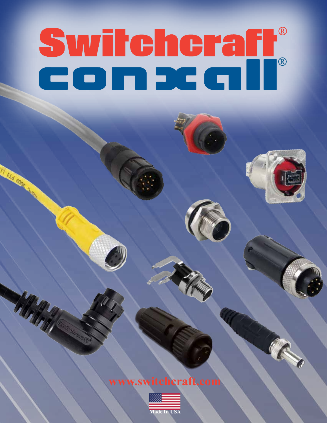# Switcheraft®





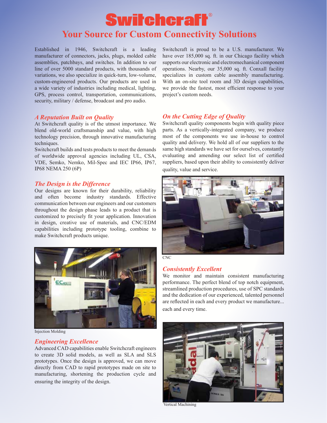## **Switchcraft® Your Source for Custom Connectivity Solutions**

Established in 1946, Switchcraft is a leading manufacturer of connectors, jacks, plugs, molded cable assemblies, patchbays, and switches. In addition to our line of over 5000 standard products, with thousands of variations, we also specialize in quick-turn, low-volume, custom-engineered products. Our products are used in a wide variety of industries including medical, lighting, GPS, process control, transportation, communications, security, military / defense, broadcast and pro audio.

#### *A Reputation Built on Quality*

At Switchcraft quality is of the utmost importance. We blend old-world craftsmanship and value, with high technology precision, through innovative manufacturing techniques.

Switchcraft builds and tests products to meet the demands of worldwide approval agencies including UL, CSA, VDE, Semko, Nemko, Mil-Spec and IEC IP66, IP67, IP68 NEMA 250 (6P)

#### *The Design is the Difference*

Our designs are known for their durability, reliability and often become industry standards. Effective communication between our engineers and our customers throughout the design phase leads to a product that is customized to precisely fit your application. Innovation in design, creative use of materials, and CNC/EDM capabilities including prototype tooling, combine to make Switchcraft products unique.



Injection Molding

#### *Engineering Excellence*

Advanced CAD capabilities enable Switchcraft engineers to create 3D solid models, as well as SLA and SLS prototypes. Once the design is approved, we can move directly from CAD to rapid prototypes made on site to manufacturing, shortening the production cycle and ensuring the integrity of the design.

Switchcraft is proud to be a U.S. manufacturer. We have over 185,000 sq. ft. in our Chicago facility which supports our electronic and electromechanical component operations. Nearby, our 35,000 sq. ft. Conxall facility specializes in custom cable assembly manufacturing. With an on-site tool room and 3D design capabilities, we provide the fastest, most efficient response to your project's custom needs.

#### *On the Cutting Edge of Quality*

Switchcraft quality components begin with quality piece parts. As a vertically-integrated company, we produce most of the components we use in-house to control quality and delivery. We hold all of our suppliers to the same high standards we have set for ourselves, constantly evaluating and amending our select list of certified suppliers, based upon their ability to consistently deliver quality, value and service.





#### *Consistently Excellent*

We monitor and maintain consistent manufacturing performance. The perfect blend of top notch equipment, streamlined production procedures, use of SPC standards and the dedication of our experienced, talented personnel are reflected in each and every product we manufacture... each and every time.



Vertical Machining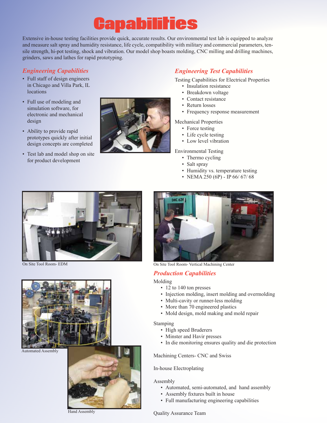# Capabilities

Extensive in-house testing facilities provide quick, accurate results. Our environmental test lab is equipped to analyze and measure salt spray and humidity resistance, life cycle, compatibility with military and commercial parameters, tensile strength, hi-pot testing, shock and vibration. Our model shop boasts molding, CNC milling and drilling machines, grinders, saws and lathes for rapid prototyping.

- Full staff of design engineers in Chicago and Villa Park, IL locations
- Full use of modeling and simulation software, for electronic and mechanical design
- Ability to provide rapid prototypes quickly after initial design concepts are completed
- Test lab and model shop on site for product development



#### *Engineering Capabilities Engineering Test Capabilities*

Testing Capabilities for Electrical Properties

- Insulation resistance
- Breakdown voltage
- Contact resistance
- Return losses
- Frequency response measurement
- Mechanical Properties
	- Force testing
	- Life cycle testing
	- Low level vibration

Environmental Testing

- Thermo cycling
- Salt spray
- Humidity vs. temperature testing
- NEMA 250 (6P) IP 66/ 67/ 68





Automated Assembly



Hand Assembly



On Site Tool Room- EDM On Site Tool Room- Vertical Machining Center

#### *Production Capabilities*

#### Molding

- 12 to 140 ton presses
- Injection molding, insert molding and overmolding
- Multi-cavity or runner-less molding
- More than 70 engineered plastics
- Mold design, mold making and mold repair

#### Stamping

- High speed Bruderers
- Minster and Havir presses
- In die monitoring ensures quality and die protection

Machining Centers- CNC and Swiss

#### In-house Electroplating

#### Assembly

- Automated, semi-automated, and hand assembly
- Assembly fixtures built in house
- Full manufacturing engineering capabilities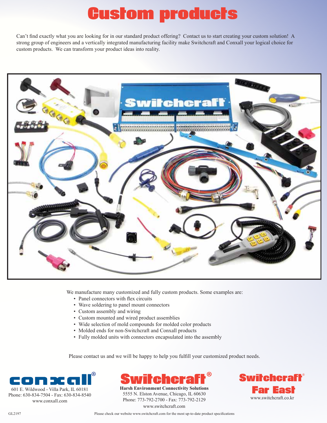# Custom products

Can't find exactly what you are looking for in our standard product offering? Contact us to start creating your custom solution! A strong group of engineers and a vertically integrated manufacturing facility make Switchcraft and Conxall your logical choice for custom products. We can transform your product ideas into reality.



We manufacture many customized and fully custom products. Some examples are:

- Panel connectors with flex circuits
- Wave soldering to panel mount connectors
- Custom assembly and wiring
- Custom mounted and wired product assemblies
- Wide selection of mold compounds for molded color products
- Molded ends for non-Switchcraft and Conxall products
- Fully molded units with connectors encapsulated into the assembly

Please contact us and we will be happy to help you fulfill your customized product needs.





**Harsh Environment Connectivity Solutions** 5555 N. Elston Avenue, Chicago, IL 60630 Phone: 773-792-2700 - Fax: 773-792-2129 www.switchcraft.com

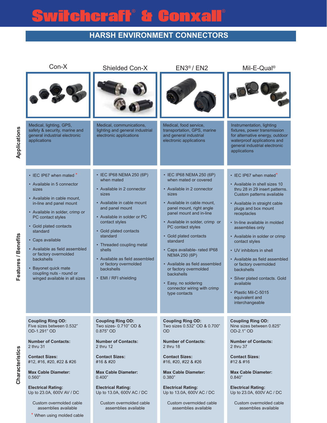# witcheraft® & Conxa

### **Harsh Environment Connectors**

| Con-X                                                                                                                                                                                                                                                                                                                                                                                                    | <b>Shielded Con-X</b>                                                                                                                                                                                                                                                                                                                                                     | $EN3®$ / EN2                                                                                                                                                                                                                                                                                                                                                                                                                                                                          | Mil-E-Qual <sup>®</sup>                                                                                                                                                                                                                                                                                                                                                                                                                                                                                                                  |  |
|----------------------------------------------------------------------------------------------------------------------------------------------------------------------------------------------------------------------------------------------------------------------------------------------------------------------------------------------------------------------------------------------------------|---------------------------------------------------------------------------------------------------------------------------------------------------------------------------------------------------------------------------------------------------------------------------------------------------------------------------------------------------------------------------|---------------------------------------------------------------------------------------------------------------------------------------------------------------------------------------------------------------------------------------------------------------------------------------------------------------------------------------------------------------------------------------------------------------------------------------------------------------------------------------|------------------------------------------------------------------------------------------------------------------------------------------------------------------------------------------------------------------------------------------------------------------------------------------------------------------------------------------------------------------------------------------------------------------------------------------------------------------------------------------------------------------------------------------|--|
|                                                                                                                                                                                                                                                                                                                                                                                                          |                                                                                                                                                                                                                                                                                                                                                                           |                                                                                                                                                                                                                                                                                                                                                                                                                                                                                       |                                                                                                                                                                                                                                                                                                                                                                                                                                                                                                                                          |  |
| Medical, lighting, GPS,<br>safety & security, marine and<br>general industrial electronic<br>applications                                                                                                                                                                                                                                                                                                | Medical, communications,<br>lighting and general industrial<br>electronic applications                                                                                                                                                                                                                                                                                    | Medical, food service,<br>transportation, GPS, marine<br>and general industrial<br>electronic applications                                                                                                                                                                                                                                                                                                                                                                            | Instrumentation, lighting<br>fixtures, power transmission<br>for alternative energy, outdoor<br>waterproof applications and<br>general industrial electronic<br>applications                                                                                                                                                                                                                                                                                                                                                             |  |
| • IEC IP67 when mated *<br>• Available in 5 connector<br>sizes<br>• Available in cable mount,<br>in-line and panel mount<br>• Available in solder, crimp or<br>PC contact styles<br>• Gold plated contacts<br>standard<br>• Caps available<br>• Available as field assembled<br>or factory overmolded<br>backshells<br>• Bayonet quick mate<br>coupling nuts - round or<br>winged available in all sizes | • IEC IP68 NEMA 250 (6P)<br>when mated<br>• Available in 2 connector<br>sizes<br>• Available in cable mount<br>and panel mount<br>• Available in solder or PC<br>contact styles<br>Gold plated contacts<br>$\bullet$<br>standard<br>• Threaded coupling metal<br>shells<br>• Available as field assembled<br>or factory overmolded<br>backshells<br>• EMI / RFI shielding | • IEC IP68 NEMA 250 (6P)<br>when mated or covered<br>• Available in 2 connector<br>sizes<br>• Available in cable mount,<br>panel mount, right angle<br>panel mount and in-line<br>• Available in solder, crimp or<br>PC contact styles<br>• Gold plated contacts<br>standard<br>• Caps available- rated IP68<br><b>NEMA 250 (6P)</b><br>• Available as field assembled<br>or factory overmolded<br>backshells<br>• Easy, no soldering<br>connector wiring with crimp<br>type contacts | $\cdot$ IEC IP67 when mated <sup>*</sup><br>• Available in shell sizes 10<br>thru 28 in 29 insert patterns.<br>Custom patterns available<br>• Available in straight cable<br>plugs and box mount<br>receptacles<br>• In-line available in molded<br>assemblies only<br>• Available in solder or crimp<br>contact styles<br>• UV inhibitors in shell<br>• Available as field assembled<br>or factory overmolded<br>backshells<br>· Silver plated contacts. Gold<br>available<br>• Plastic Mil-C-5015<br>equivalent and<br>interchangeable |  |
| <b>Coupling Ring OD:</b><br>Five sizes between 0.532"<br>OD-1.291" OD<br><b>Number of Contacts:</b><br>2 thru 31<br><b>Contact Sizes:</b>                                                                                                                                                                                                                                                                | <b>Coupling Ring OD:</b><br>Two sizes- 0.710" OD &<br>$0.875"$ OD<br><b>Number of Contacts:</b><br>$2$ thru $12$<br><b>Contact Sizes:</b>                                                                                                                                                                                                                                 | <b>Coupling Ring OD:</b><br>Two sizes 0.532" OD & 0.700"<br><b>OD</b><br><b>Number of Contacts:</b><br>2 thru 18<br><b>Contact Sizes:</b>                                                                                                                                                                                                                                                                                                                                             | <b>Coupling Ring OD:</b><br>Nine sizes between 0.825"<br>OD-2.1" OD<br><b>Number of Contacts:</b><br>2 thru 37<br><b>Contact Sizes:</b>                                                                                                                                                                                                                                                                                                                                                                                                  |  |
| #12, #16, #20, #22 & #26<br><b>Max Cable Diameter:</b><br>0.560"                                                                                                                                                                                                                                                                                                                                         | #16 & #20<br><b>Max Cable Diameter:</b><br>0.400"                                                                                                                                                                                                                                                                                                                         | #16, #20, #22 & #26<br><b>Max Cable Diameter:</b><br>0.380"                                                                                                                                                                                                                                                                                                                                                                                                                           | #12 & #16<br><b>Max Cable Diameter:</b><br>0.840"                                                                                                                                                                                                                                                                                                                                                                                                                                                                                        |  |
| <b>Electrical Rating:</b><br>Up to 23.0A, 600V AV / DC<br>Custom overmolded cable<br>assemblies available<br>* When using molded cable                                                                                                                                                                                                                                                                   | <b>Electrical Rating:</b><br>Up to 13.0A, 600V AC / DC<br>Custom overmolded cable<br>assemblies available                                                                                                                                                                                                                                                                 | <b>Electrical Rating:</b><br>Up to 13.0A, 600V AC / DC<br>Custom overmolded cable<br>assemblies available                                                                                                                                                                                                                                                                                                                                                                             | <b>Electrical Rating:</b><br>Up to 23.0A, 600V AC / DC<br>Custom overmolded cable<br>assemblies available                                                                                                                                                                                                                                                                                                                                                                                                                                |  |

**Characteristics**

**Characteristics**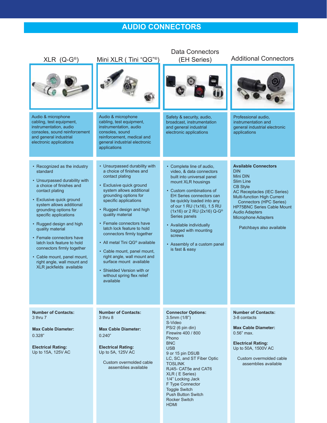## **Audio Connectors**

|                                                                                                                                                                                                                                                                                                                                                                                                                                                                      | <b>Data Connectors</b>                                                                                                                                                                                                                                                                                                                                                                                                                                                                                                             |                                                                                                                                                                                                                                                                                                                                                                                                                 |                                                                                                                                                                                                                                                                                                               |  |  |  |
|----------------------------------------------------------------------------------------------------------------------------------------------------------------------------------------------------------------------------------------------------------------------------------------------------------------------------------------------------------------------------------------------------------------------------------------------------------------------|------------------------------------------------------------------------------------------------------------------------------------------------------------------------------------------------------------------------------------------------------------------------------------------------------------------------------------------------------------------------------------------------------------------------------------------------------------------------------------------------------------------------------------|-----------------------------------------------------------------------------------------------------------------------------------------------------------------------------------------------------------------------------------------------------------------------------------------------------------------------------------------------------------------------------------------------------------------|---------------------------------------------------------------------------------------------------------------------------------------------------------------------------------------------------------------------------------------------------------------------------------------------------------------|--|--|--|
| $XLR$ (Q-G®)                                                                                                                                                                                                                                                                                                                                                                                                                                                         | Mini XLR (Tini "QG" <sup>®</sup>                                                                                                                                                                                                                                                                                                                                                                                                                                                                                                   | (EH Series)                                                                                                                                                                                                                                                                                                                                                                                                     | <b>Additional Connectors</b>                                                                                                                                                                                                                                                                                  |  |  |  |
|                                                                                                                                                                                                                                                                                                                                                                                                                                                                      |                                                                                                                                                                                                                                                                                                                                                                                                                                                                                                                                    |                                                                                                                                                                                                                                                                                                                                                                                                                 |                                                                                                                                                                                                                                                                                                               |  |  |  |
| Audio & microphone<br>cabling, test equipment,<br>instrumentation, audio<br>consoles, sound reinforcement<br>and general industrial<br>electronic applications                                                                                                                                                                                                                                                                                                       | Audio & microphone<br>cabling, test equipment,<br>instrumentation, audio<br>consoles, sound<br>reinforcement, medical and<br>general industrial electronic<br>applications                                                                                                                                                                                                                                                                                                                                                         | Safety & security, audio,<br>broadcast, instrumentation<br>and general industrial<br>electronic applications                                                                                                                                                                                                                                                                                                    | Professional audio,<br>instrumentation and<br>general industrial electronic<br>applications                                                                                                                                                                                                                   |  |  |  |
| • Recognized as the industry<br>standard<br>• Unsurpassed durability with<br>a choice of finishes and<br>contact plating<br>• Exclusive quick ground<br>system allows additional<br>grounding options for<br>specific applications<br>• Rugged design and high<br>quality material<br>• Female connectors have<br>latch lock feature to hold<br>connectors firmly together<br>• Cable mount, panel mount,<br>right angle, wall mount and<br>XLR jackfields available | • Unsurpassed durability with<br>a choice of finishes and<br>contact plating<br>• Exclusive quick ground<br>system allows additional<br>grounding options for<br>specific applications<br>• Rugged design and high<br>quality material<br>• Female connectors have<br>latch lock feature to hold<br>connectors firmly together<br>• All metal Tini QG® available<br>• Cable mount, panel mount,<br>right angle, wall mount and<br>surface mount available<br>• Shielded Version with or<br>without spring flex relief<br>available | • Complete line of audio.<br>video, & data connectors<br>built into universal panel<br>mount XLR housings<br>• Custom combinations of<br><b>EH Series connectors can</b><br>be quickly loaded into any<br>of our 1 RU (1x16), 1.5 RU<br>(1x16) or 2 RU (2x16) Q-G <sup>®</sup><br>Series panels<br>• Available individually<br>bagged with mounting<br>screws<br>• Assembly of a custom panel<br>is fast & easy | <b>Available Connectors</b><br><b>DIN</b><br>Mini DIN<br>Slim Line<br><b>CB Style</b><br>AC Receptacles (IEC Series)<br>Multi-function High Current<br><b>Connectors (HPC Series)</b><br><b>HP75BNC Series Cable Mount</b><br><b>Audio Adapters</b><br><b>Microphone Adapters</b><br>Patchbays also available |  |  |  |
| <b>Number of Contacts:</b><br>3 thru 7<br><b>Max Cable Diameter:</b><br>0.328"<br><b>Electrical Rating:</b><br>Up to 15A, 125V AC                                                                                                                                                                                                                                                                                                                                    | <b>Number of Contacts:</b><br>3 thru 8<br><b>Max Cable Diameter:</b><br>0.240"<br><b>Electrical Rating:</b><br>Up to 5A, 125V AC<br>Custom overmolded cable<br>assemblies available                                                                                                                                                                                                                                                                                                                                                | <b>Connector Options:</b><br>$3.5$ mm $(1/8")$<br>S-Video<br>PS/2 (6 pin din)<br>Firewire 400 / 800<br>Phono<br><b>BNC</b><br><b>USB</b><br>9 or 15 pin DSUB<br>LC, SC, and ST Fiber Optic<br><b>TOSLINK</b><br>RJ45- CAT5e and CAT6<br>XLR (E Series)<br>1/4" Locking Jack<br>F Type Connector<br><b>Toggle Switch</b><br><b>Push Button Switch</b><br><b>Rocker Switch</b><br>HDMI                            | <b>Number of Contacts:</b><br>3-8 contacts<br><b>Max Cable Diameter:</b><br>$0.56$ " max.<br><b>Electrical Rating:</b><br>Up to 50A, 1500V AC<br>Custom overmolded cable<br>assemblies available                                                                                                              |  |  |  |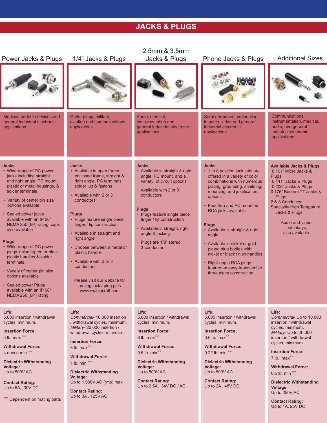## **Jacks & Plugs**

|                                                                                                                                                                                                                                                                                                                                                                                                                                                                                                                                                                       |                                                                                                                                                                                                                                                                                                                                                                                                                                                                                | 2.5mm & 3.5mm                                                                                                                                                                                                                                                                                                                 |                                                                                                                                                                                                                                                                                                                                                                                                                                                                                                 |                                                                                                                                                                                                                                                                                                                                                                  |
|-----------------------------------------------------------------------------------------------------------------------------------------------------------------------------------------------------------------------------------------------------------------------------------------------------------------------------------------------------------------------------------------------------------------------------------------------------------------------------------------------------------------------------------------------------------------------|--------------------------------------------------------------------------------------------------------------------------------------------------------------------------------------------------------------------------------------------------------------------------------------------------------------------------------------------------------------------------------------------------------------------------------------------------------------------------------|-------------------------------------------------------------------------------------------------------------------------------------------------------------------------------------------------------------------------------------------------------------------------------------------------------------------------------|-------------------------------------------------------------------------------------------------------------------------------------------------------------------------------------------------------------------------------------------------------------------------------------------------------------------------------------------------------------------------------------------------------------------------------------------------------------------------------------------------|------------------------------------------------------------------------------------------------------------------------------------------------------------------------------------------------------------------------------------------------------------------------------------------------------------------------------------------------------------------|
| Power Jacks & Plugs                                                                                                                                                                                                                                                                                                                                                                                                                                                                                                                                                   | 1/4" Jacks & Plugs                                                                                                                                                                                                                                                                                                                                                                                                                                                             | Jacks & Plugs                                                                                                                                                                                                                                                                                                                 | Phono Jacks & Plugs                                                                                                                                                                                                                                                                                                                                                                                                                                                                             | <b>Additional Sizes</b>                                                                                                                                                                                                                                                                                                                                          |
| Medical, portable devices and<br>general industrial electronic<br>applications                                                                                                                                                                                                                                                                                                                                                                                                                                                                                        | Guitar plugs, military,<br>aviation and communications<br>applications                                                                                                                                                                                                                                                                                                                                                                                                         | Audio, medical,<br>instrumentation and<br>general industrial electronic<br>applications                                                                                                                                                                                                                                       | Semi-permanent connection<br>in audio, video and general<br>industrial electronic<br>applications                                                                                                                                                                                                                                                                                                                                                                                               | Communications,<br>instrumentation, medical,<br>audio, and general<br>industrial electronic<br>applications                                                                                                                                                                                                                                                      |
| <b>Jacks</b><br>• Wide range of DC power<br>jacks including straight<br>and right angle, PC mount,<br>plastic or metal housings, &<br>solder terminals<br>• Variety of center pin size<br>options available<br>· Sealed power jacks<br>available with an IP 68/<br>NEMA 250 (6P) rating, caps<br>also available<br><b>Plugs</b><br>• Wide range of DC power<br>plugs including red or black<br>plastic handles & solder<br>terminals<br>• Variety of center pin size<br>options available<br>• Sealed power Plugs<br>available with an IP 68/<br>NEMA 250 (6P) rating | <b>Jacks</b><br>• Available in open frame,<br>enclosed frame, straight &<br>right angle, PC terminals,<br>solder lug & fastons<br>• Available with 2 or 3<br>conductors<br><b>Plugs</b><br>• Plugs feature single piece<br>finger / tip construction<br>• Available in straight and<br>right angle<br>• Choose between a metal or<br>plastic handle<br>• Available with 2 or 3<br>conductors<br>Please visit our website for<br>mating jack / plug pins<br>www.switchcraft.com | <b>Jacks</b><br>• Available in straight & right<br>angle, PC mount, and a<br>variety of circuit options<br>• Available with 2 or 3<br>conductors<br><b>Plugs</b><br>• Plugs feature single piece<br>finger / tip construction<br>• Available in straight, right<br>angle & locking<br>• Plugs are 1/8" stereo,<br>3-conductor | <b>Jacks</b><br>• 1 to 8 position jack sets are<br>offered in a variety of color<br>combinations with numerous<br>plating, grounding, shielding,<br>mounting, and justification<br>options<br>• Feedthru and PC mounted<br>RCA jacks available<br><b>Plugs</b><br>• Available in straight & right<br>angle<br>• Available in nickel or gold-<br>plated plug bodies with<br>nickel or black finish handles<br>• Right-angle RCA plugs<br>feature an easy-to-assemble<br>three piece construction | <b>Available Jacks &amp; Plugs</b><br>0.101" Micro Jacks &<br><b>Plugs</b><br>0.141" Jacks & Plugs<br>0.206" Jacks & Plugs<br>0.176" Bantam TT Jacks &<br><b>Plugs</b><br>2 & 3 Conductor<br><b>Specialtiy High Tempature</b><br>Jacks & Plugs<br>Audio and video<br>patchbays<br>also available                                                                 |
| Life:<br>5,000 insertion / withdrawal<br>cycles, minimum.<br><b>Insertion Force:</b><br>$3$ lb. max **<br><b>Withdrawal Force:</b><br>4 ounce min **<br><b>Dielectric Withstanding</b><br><b>Voltage:</b><br>Up to 500V AC<br><b>Contact Rating:</b><br>Up to 5A, 30V DC<br>Dependent on mating parts                                                                                                                                                                                                                                                                 | Life:<br>Commercial- 10,000 insertion<br>/ withdrawal cycles, minimum.<br>Military-20,000 insertion /<br>withdrawal cycles, minimum.<br><b>Insertion Force:</b><br>8 lb. max $**$<br><b>Withdrawal Force:</b><br>1 lb. min $**$<br><b>Dielectric Withstanding</b><br><b>Voltage:</b><br>Up to 1,000V AC (rms) max<br><b>Contact Rating:</b><br>Up to 3A, 125V AC                                                                                                               | Life:<br>5,000 insertion / withdrawal<br>cycles, minimum.<br><b>Insertion Force:</b><br>8 lb. $max**$<br><b>Withdrawal Force:</b><br>0.5 ln. min**<br><b>Dielectric Withstanding</b><br>Voltage:<br>Up to 500V AC<br><b>Contact Rating:</b><br>Up to 2.5A, 34V DC / AC                                                        | Life:<br>5.000 insertion / withdrawal<br>cycles, minimum.<br><b>Insertion Force:</b><br>6.6 lb. $max**$<br><b>Withdrawal Force:</b><br>0.22 lb. min **<br><b>Dielectric Withstanding</b><br><b>Voltage:</b><br>Up to 500V AC<br><b>Contact Rating:</b><br>Up to 2A, 48V DC                                                                                                                                                                                                                      | Life:<br>Commercial- Up to 10,000<br>insertion / withdrawal<br>cycles, minimum.<br>Military- Up to 20,000<br>insertion / withdrawal<br>cycles, minimum.<br><b>Insertion Force:</b><br>7 lb. $max**$<br><b>Withdrawal Force:</b><br>$0.5$ lb. min **<br><b>Dielectric Withstanding</b><br>Voltage:<br>Up to 250V AC<br><b>Contact Rating:</b><br>Up to 1A, 25V DC |